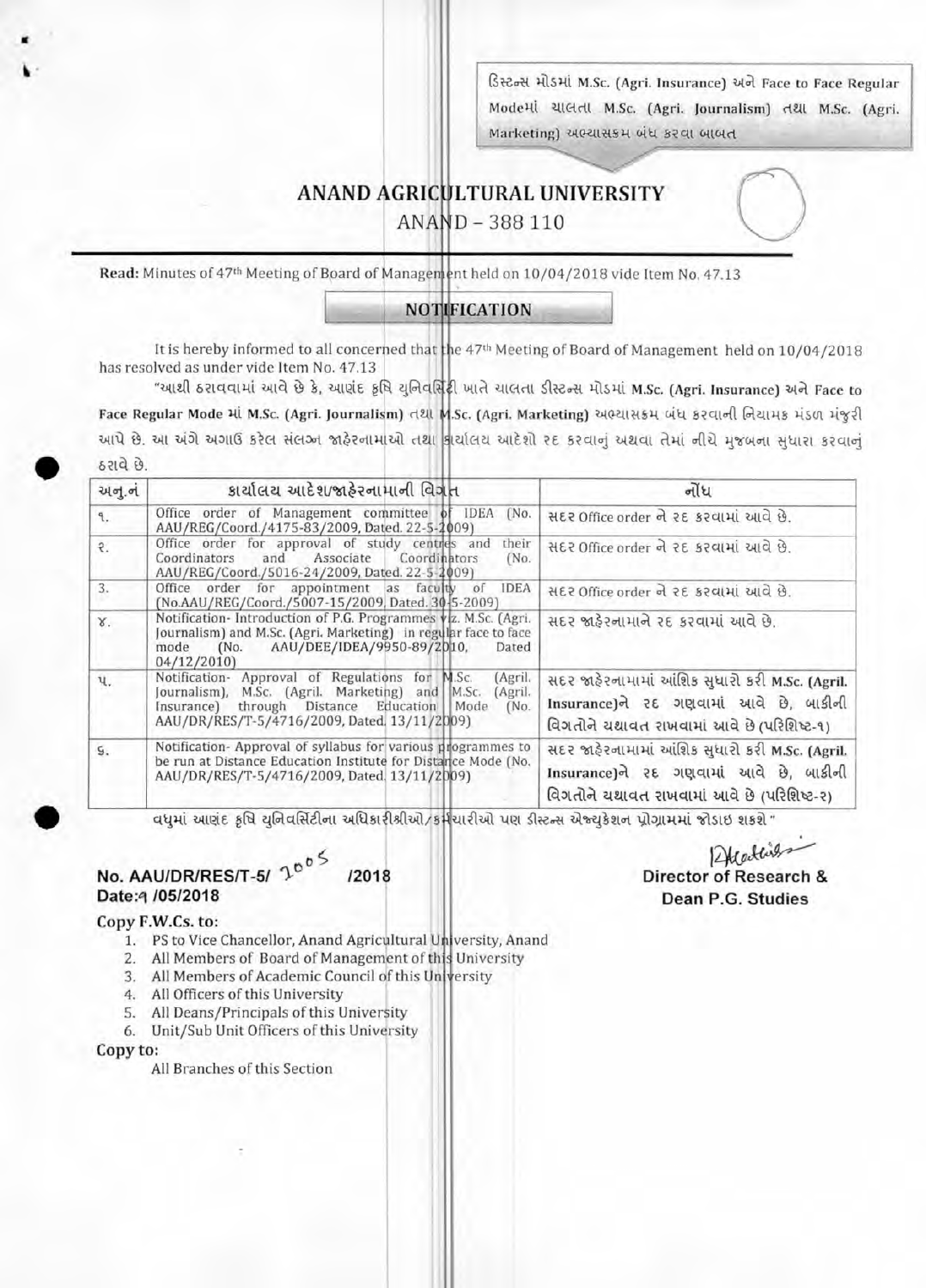ડિસ્ટન્સ મીડમાં M.Sc. (Agri. Insurance) અને Face to Face Regular ModeHl यालता M.Sc. (Agri. Journalism) तथा M.Sc. (Agri. Marketing) અભ્યાસક્રમ બંધ કરવા બાબત

## **ANAND AGRICULTURAL UNIVERSITY**

ANAND - 388 110

Read: Minutes of 47<sup>th</sup> Meeting of Board of Management held on 10/04/2018 vide Item No. 47.13

#### **NOTIFICATION**

It is hereby informed to all concerned that the 47th Meeting of Board of Management held on 10/04/2018 has resolved as under vide Item No. 47.13

"આથી ઠરાવવામાં આવે છે કે, આણંદ કૃષિ યુનિવર્સિંદી ખાતે ચાલતા ડીસ્ટન્સ મોડમાં M.Sc. (Agri. Insurance) અને Face to Face Regular Mode માં M.Sc. (Agri. Journalism) તથા M.Sc. (Agri. Marketing) અભ્યાસક્રમ બંધ કરવાની નિચામક મંડળ મંજુરી આપે છે. આ અંગે અગાઉ કરેલ સંલગ્ન જાહેરનામાંઓ તથા કાર્યાલય આદેશો રદ કરવાનું અથવા તેમાં નીચે મુજબના સુધારા કરવાનું ઠરાવે છે.

| અનુ.નં         | કાર્યાલય આદેશ/જાહેરનામાની વિગત                                                                                                                                                                                                 | નોંધ                                                                                                                                    |
|----------------|--------------------------------------------------------------------------------------------------------------------------------------------------------------------------------------------------------------------------------|-----------------------------------------------------------------------------------------------------------------------------------------|
| 9.             | Office order of Management committee of IDEA (No.<br>AAU/REG/Coord./4175-83/2009, Dated. 22-5-2009)                                                                                                                            | સદર Office order ને ૨દ કરવામાં આવે છે.                                                                                                  |
| $\mathcal{L}$  | Office order for approval of study centres and<br>their<br>Associate<br>Coordinators<br>and<br>Coordinators<br>(No.<br>AAU/REG/Coord./5016-24/2009, Dated. 22-5-2009)                                                          | સદર Office order ને રદ કરવામાં આવે છે.                                                                                                  |
| 3.             | Office order for appointment as faculty of IDEA<br>(No.AAU/REG/Coord./5007-15/2009, Dated. 30-5-2009)                                                                                                                          | સદર Office order ને ૨દ કરવામાં આવે છે.                                                                                                  |
| Y.             | Notification- Introduction of P.G. Programmes viz. M.Sc. (Agri.<br>Journalism) and M.Sc. (Agri. Marketing) in regular face to face<br>mode (No. AAU/DEE/IDEA/9950-89/2010,<br>Dated<br>04/12/2010                              | સદર જાફેરનામાને રદ કરવામાં આવે છે.                                                                                                      |
| Ч.             | Notification- Approval of Regulations for M.Sc.<br>(Agril.<br>Journalism), M.Sc. (Agril. Marketing) and M.Sc.<br>(Agril.<br>Insurance) through Distance Education Mode<br>(No.<br>AAU/DR/RES/T-5/4716/2009, Dated, 13/11/2009) | સદર જાહેરનામામાં આંશિક સુધારી કરી M.Sc. (Agril.<br>Insurance)ને રદ ગણવામાં આવે છે, બાકીની<br>વિગતોને ચશાવત રાખવામાં આવે છે (પરિશિષ્ટ-૧) |
| $\mathsf{S}$ . | Notification-Approval of syllabus for various programmes to<br>be run at Distance Education Institute for Distance Mode (No.<br>AAU/DR/RES/T-5/4716/2009, Dated. 13/11/2009)                                                   | સદર જાફેરનામામાં આંશિક સુધારી કરી M.Sc. (Agril.<br>Insurance)ને રદ ગણવામાં આવે છે, બાકીની<br>વિગતોને યથાવત રાખવામાં આવે છે (પરિશિષ્ટ-૨) |

<u>વધમાં આણંદ કૃષિ યુનિવર્સિટીના અધિકારીશ્રીઓ/કર્મચારીઓ પણ ડીસ્ટન્સ એજ્યુકેશન પ્રોગ્રામમાં જોડાઇ શકશે "</u>

#### No. AAU/DR/RES/T-5/ 1005 /2018 Date: 4/05/2018

Alcallis Director of Research & Dean P.G. Studies

#### Copy F.W.Cs. to:

- 1. PS to Vice Chancellor, Anand Agricultural University, Anand
- 2. All Members of Board of Management of this University
- 3. All Members of Academic Council of this University
- 4. All Officers of this University
- 5. All Deans/Principals of this University
- 6. Unit/Sub Unit Officers of this University

#### Copy to:

All Branches of this Section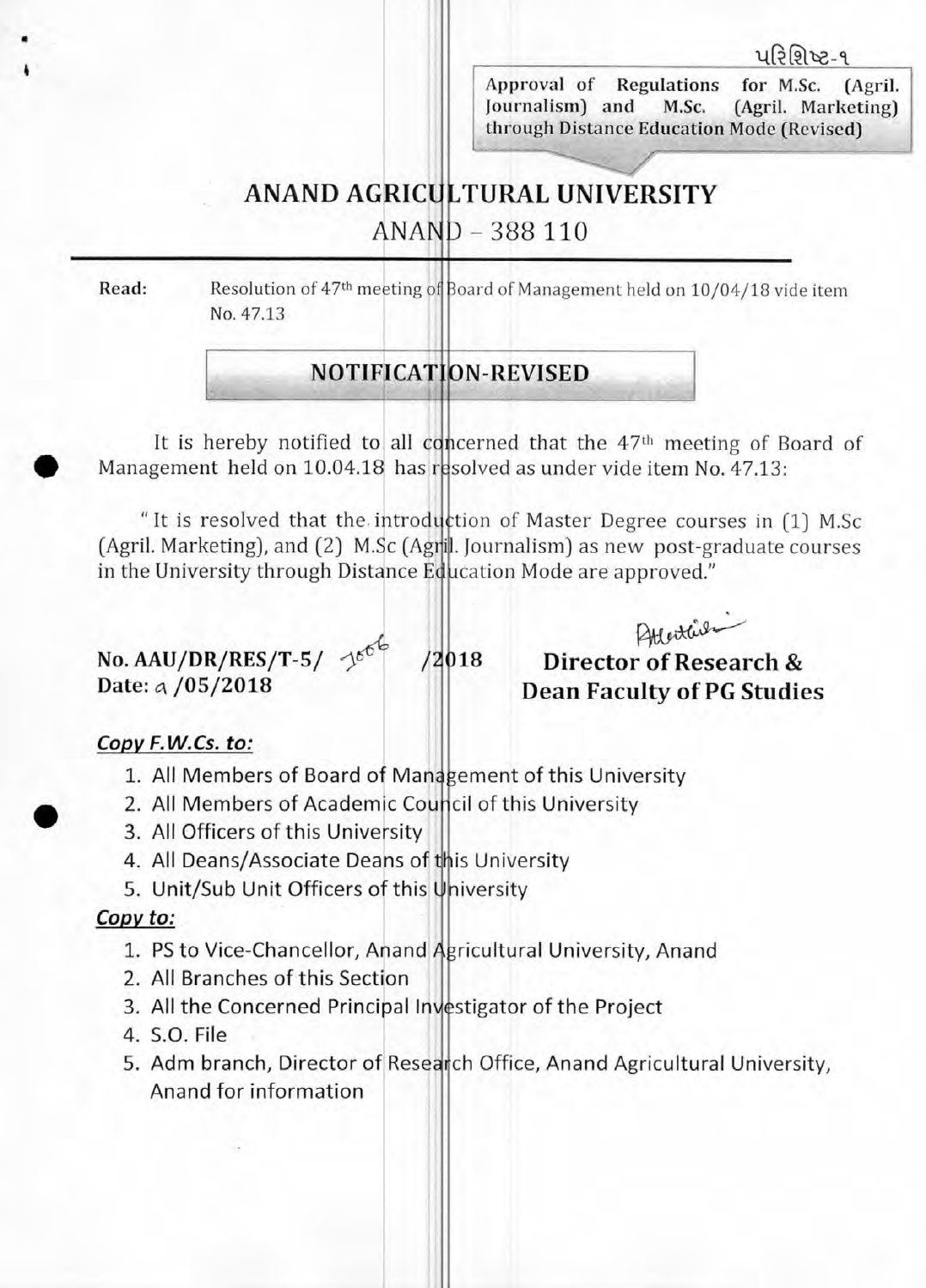<u>પરિશિષ્ટ-૧</u>

Approval of Regulations for M.Sc. (Agril. Journalism) and M.Sc. (Agril. Marketing) through Distance Education Mode (Revised)

## ANAND AGRICULTURAL UNIVERSITY

ANAND - 388 110

•

Read: Resolution of 47th meeting of Board of Management held on 10/04/18 vide item No. 47.13

## **NOTIFICATION-REVISED**

It is hereby notified to all concerned that the 47<sup>th</sup> meeting of Board of • Management held on 10.04.18 has resolved as under vide item No. 47.13:

" It is resolved that the introduction of Master Degree courses in (1) M.Sc (Agril. Marketing), and (2) M.Sc (Agri]. Journalism) as new post-graduate courses in the University through Distance Education Mode are approved."

No. AAU/DR/RES/T-5/  $\frac{1}{6}$ <sup>66</sup> /2018<br>Date: a /05/2018

Attended Apples<br>Birector of Research & **Dean Faculty of PG Studies** 

### **Copy F.W.Cs. to:**

- 1. All Members of Board of Management of this University **Copy F.W.Cs. to:**<br>1. All Members of Board of Management of this University<br>2. All Members of Academic Council of this University
	-
	- 3. All Officers of this University
	- 4. All Deans/Associate Deans of this University
	- 5. Unit/Sub Unit Officers of this University

#### Copy to:

- 1. PS to Vice-Chancellor, Anand Agricultural University, Anand
- 2. All Branches of this Section
- 3. All the Concerned Principal Investigator of the Project
- 4. S.O. File
- 5. Adm branch, Director of Research Office, Anand Agricultural University, Anand for information